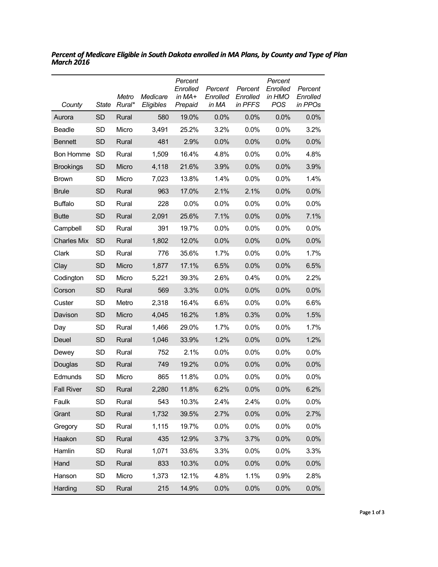| County             | State     | Metro<br>Rural* | Medicare<br>Eligibles | Percent<br>Enrolled<br>in MA+<br>Prepaid | Percent<br>Enrolled<br>in MA | Percent<br>Enrolled<br>in PFFS | Percent<br>Enrolled<br>in HMO<br><b>POS</b> | Percent<br>Enrolled<br>in PPOs |
|--------------------|-----------|-----------------|-----------------------|------------------------------------------|------------------------------|--------------------------------|---------------------------------------------|--------------------------------|
| Aurora             | <b>SD</b> | Rural           | 580                   | 19.0%                                    | 0.0%                         | 0.0%                           | 0.0%                                        | 0.0%                           |
| Beadle             | <b>SD</b> | Micro           | 3,491                 | 25.2%                                    | 3.2%                         | 0.0%                           | 0.0%                                        | 3.2%                           |
| <b>Bennett</b>     | <b>SD</b> | Rural           | 481                   | 2.9%                                     | 0.0%                         | 0.0%                           | 0.0%                                        | 0.0%                           |
| <b>Bon Homme</b>   | <b>SD</b> | Rural           | 1,509                 | 16.4%                                    | 4.8%                         | 0.0%                           | 0.0%                                        | 4.8%                           |
| <b>Brookings</b>   | <b>SD</b> | Micro           | 4,118                 | 21.6%                                    | 3.9%                         | 0.0%                           | 0.0%                                        | 3.9%                           |
| <b>Brown</b>       | <b>SD</b> | Micro           | 7,023                 | 13.8%                                    | 1.4%                         | 0.0%                           | 0.0%                                        | 1.4%                           |
| <b>Brule</b>       | <b>SD</b> | Rural           | 963                   | 17.0%                                    | 2.1%                         | 2.1%                           | 0.0%                                        | 0.0%                           |
| <b>Buffalo</b>     | <b>SD</b> | Rural           | 228                   | 0.0%                                     | 0.0%                         | 0.0%                           | 0.0%                                        | 0.0%                           |
| <b>Butte</b>       | <b>SD</b> | Rural           | 2,091                 | 25.6%                                    | 7.1%                         | 0.0%                           | 0.0%                                        | 7.1%                           |
| Campbell           | <b>SD</b> | Rural           | 391                   | 19.7%                                    | 0.0%                         | 0.0%                           | 0.0%                                        | 0.0%                           |
| <b>Charles Mix</b> | <b>SD</b> | Rural           | 1,802                 | 12.0%                                    | 0.0%                         | 0.0%                           | 0.0%                                        | 0.0%                           |
| Clark              | <b>SD</b> | Rural           | 776                   | 35.6%                                    | 1.7%                         | 0.0%                           | 0.0%                                        | 1.7%                           |
| Clay               | <b>SD</b> | Micro           | 1,877                 | 17.1%                                    | 6.5%                         | 0.0%                           | 0.0%                                        | 6.5%                           |
| Codington          | <b>SD</b> | Micro           | 5,221                 | 39.3%                                    | 2.6%                         | 0.4%                           | 0.0%                                        | 2.2%                           |
| Corson             | <b>SD</b> | Rural           | 569                   | 3.3%                                     | 0.0%                         | 0.0%                           | 0.0%                                        | 0.0%                           |
| Custer             | <b>SD</b> | Metro           | 2,318                 | 16.4%                                    | 6.6%                         | 0.0%                           | 0.0%                                        | 6.6%                           |
| Davison            | <b>SD</b> | Micro           | 4,045                 | 16.2%                                    | 1.8%                         | 0.3%                           | 0.0%                                        | 1.5%                           |
| Day                | <b>SD</b> | Rural           | 1,466                 | 29.0%                                    | 1.7%                         | 0.0%                           | 0.0%                                        | 1.7%                           |
| Deuel              | <b>SD</b> | Rural           | 1,046                 | 33.9%                                    | 1.2%                         | 0.0%                           | 0.0%                                        | 1.2%                           |
| Dewey              | SD        | Rural           | 752                   | 2.1%                                     | 0.0%                         | 0.0%                           | 0.0%                                        | 0.0%                           |
| Douglas            | <b>SD</b> | Rural           | 749                   | 19.2%                                    | 0.0%                         | 0.0%                           | 0.0%                                        | 0.0%                           |
| Edmunds            | SD        | Micro           | 865                   | 11.8%                                    | 0.0%                         | 0.0%                           | 0.0%                                        | $0.0\%$                        |
| <b>Fall River</b>  | <b>SD</b> | Rural           | 2,280                 | 11.8%                                    | 6.2%                         | 0.0%                           | 0.0%                                        | 6.2%                           |
| Faulk              | SD        | Rural           | 543                   | 10.3%                                    | 2.4%                         | 2.4%                           | 0.0%                                        | 0.0%                           |
| Grant              | <b>SD</b> | Rural           | 1,732                 | 39.5%                                    | 2.7%                         | 0.0%                           | 0.0%                                        | 2.7%                           |
| Gregory            | SD        | Rural           | 1,115                 | 19.7%                                    | 0.0%                         | 0.0%                           | 0.0%                                        | 0.0%                           |
| Haakon             | <b>SD</b> | Rural           | 435                   | 12.9%                                    | 3.7%                         | 3.7%                           | 0.0%                                        | 0.0%                           |
| Hamlin             | SD        | Rural           | 1,071                 | 33.6%                                    | 3.3%                         | 0.0%                           | 0.0%                                        | 3.3%                           |
| Hand               | <b>SD</b> | Rural           | 833                   | 10.3%                                    | 0.0%                         | 0.0%                           | 0.0%                                        | 0.0%                           |
| Hanson             | SD        | Micro           | 1,373                 | 12.1%                                    | 4.8%                         | 1.1%                           | 0.9%                                        | 2.8%                           |
| Harding            | SD        | Rural           | 215                   | 14.9%                                    | 0.0%                         | 0.0%                           | 0.0%                                        | 0.0%                           |

*Percent of Medicare Eligible in South Dakota enrolled in MA Plans, by County and Type of Plan March 2016*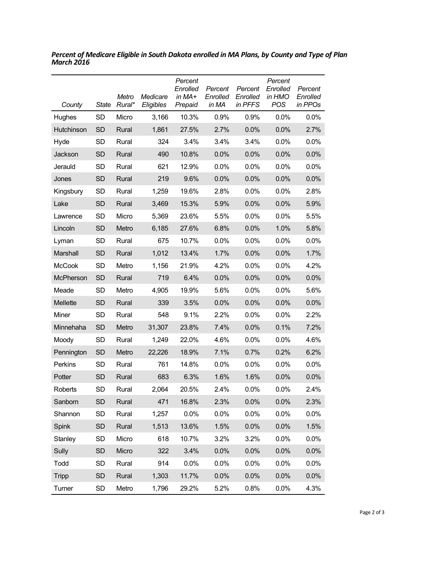| County           | State     | Metro<br>Rural* | Medicare<br>Eligibles | Percent<br>Enrolled<br>in MA+<br>Prepaid | Percent<br>Enrolled<br>in MA | Percent<br>Enrolled<br>in PFFS | Percent<br>Enrolled<br>in HMO<br><b>POS</b> | Percent<br>Enrolled<br>in PPOs |
|------------------|-----------|-----------------|-----------------------|------------------------------------------|------------------------------|--------------------------------|---------------------------------------------|--------------------------------|
| Hughes           | <b>SD</b> | Micro           | 3,166                 | 10.3%                                    | 0.9%                         | 0.9%                           | 0.0%                                        | 0.0%                           |
| Hutchinson       | <b>SD</b> | Rural           | 1,861                 | 27.5%                                    | 2.7%                         | 0.0%                           | 0.0%                                        | 2.7%                           |
| Hyde             | <b>SD</b> | Rural           | 324                   | 3.4%                                     | 3.4%                         | 3.4%                           | 0.0%                                        | 0.0%                           |
| Jackson          | <b>SD</b> | Rural           | 490                   | 10.8%                                    | 0.0%                         | 0.0%                           | 0.0%                                        | 0.0%                           |
| Jerauld          | SD        | Rural           | 621                   | 12.9%                                    | 0.0%                         | $0.0\%$                        | 0.0%                                        | 0.0%                           |
| Jones            | <b>SD</b> | Rural           | 219                   | 9.6%                                     | 0.0%                         | 0.0%                           | 0.0%                                        | 0.0%                           |
| Kingsbury        | <b>SD</b> | Rural           | 1,259                 | 19.6%                                    | 2.8%                         | 0.0%                           | 0.0%                                        | 2.8%                           |
| Lake             | <b>SD</b> | Rural           | 3,469                 | 15.3%                                    | 5.9%                         | 0.0%                           | 0.0%                                        | 5.9%                           |
| Lawrence         | <b>SD</b> | Micro           | 5,369                 | 23.6%                                    | 5.5%                         | $0.0\%$                        | 0.0%                                        | 5.5%                           |
| Lincoln          | <b>SD</b> | Metro           | 6,185                 | 27.6%                                    | 6.8%                         | 0.0%                           | 1.0%                                        | 5.8%                           |
| Lyman            | SD        | Rural           | 675                   | 10.7%                                    | 0.0%                         | 0.0%                           | 0.0%                                        | 0.0%                           |
| Marshall         | <b>SD</b> | Rural           | 1,012                 | 13.4%                                    | 1.7%                         | 0.0%                           | 0.0%                                        | 1.7%                           |
| <b>McCook</b>    | <b>SD</b> | Metro           | 1,156                 | 21.9%                                    | 4.2%                         | 0.0%                           | 0.0%                                        | 4.2%                           |
| <b>McPherson</b> | <b>SD</b> | Rural           | 719                   | 6.4%                                     | 0.0%                         | 0.0%                           | 0.0%                                        | 0.0%                           |
| Meade            | SD        | Metro           | 4,905                 | 19.9%                                    | 5.6%                         | 0.0%                           | 0.0%                                        | 5.6%                           |
| Mellette         | <b>SD</b> | Rural           | 339                   | 3.5%                                     | 0.0%                         | 0.0%                           | 0.0%                                        | 0.0%                           |
| Miner            | <b>SD</b> | Rural           | 548                   | 9.1%                                     | 2.2%                         | $0.0\%$                        | 0.0%                                        | 2.2%                           |
| Minnehaha        | <b>SD</b> | Metro           | 31,307                | 23.8%                                    | 7.4%                         | 0.0%                           | 0.1%                                        | 7.2%                           |
| Moody            | <b>SD</b> | Rural           | 1,249                 | 22.0%                                    | 4.6%                         | 0.0%                           | 0.0%                                        | 4.6%                           |
| Pennington       | <b>SD</b> | Metro           | 22,226                | 18.9%                                    | 7.1%                         | 0.7%                           | 0.2%                                        | 6.2%                           |
| Perkins          | <b>SD</b> | Rural           | 761                   | 14.8%                                    | 0.0%                         | 0.0%                           | 0.0%                                        | 0.0%                           |
| Potter           | <b>SD</b> | Rural           | 683                   | 6.3%                                     | 1.6%                         | 1.6%                           | 0.0%                                        | 0.0%                           |
| Roberts          | SD        | Rural           | 2,064                 | 20.5%                                    | 2.4%                         | 0.0%                           | $0.0\%$                                     | 2.4%                           |
| Sanborn          | <b>SD</b> | Rural           | 471                   | 16.8%                                    | 2.3%                         | 0.0%                           | 0.0%                                        | 2.3%                           |
| Shannon          | SD        | Rural           | 1,257                 | 0.0%                                     | 0.0%                         | 0.0%                           | 0.0%                                        | 0.0%                           |
| Spink            | <b>SD</b> | Rural           | 1,513                 | 13.6%                                    | 1.5%                         | 0.0%                           | 0.0%                                        | 1.5%                           |
| Stanley          | SD        | Micro           | 618                   | 10.7%                                    | 3.2%                         | 3.2%                           | 0.0%                                        | 0.0%                           |
| Sully            | <b>SD</b> | Micro           | 322                   | 3.4%                                     | 0.0%                         | 0.0%                           | 0.0%                                        | 0.0%                           |
| Todd             | SD        | Rural           | 914                   | 0.0%                                     | 0.0%                         | 0.0%                           | 0.0%                                        | 0.0%                           |
| <b>Tripp</b>     | <b>SD</b> | Rural           | 1,303                 | 11.7%                                    | 0.0%                         | 0.0%                           | 0.0%                                        | 0.0%                           |
| Turner           | SD        | Metro           | 1,796                 | 29.2%                                    | 5.2%                         | 0.8%                           | 0.0%                                        | 4.3%                           |

*Percent of Medicare Eligible in South Dakota enrolled in MA Plans, by County and Type of Plan March 2016*